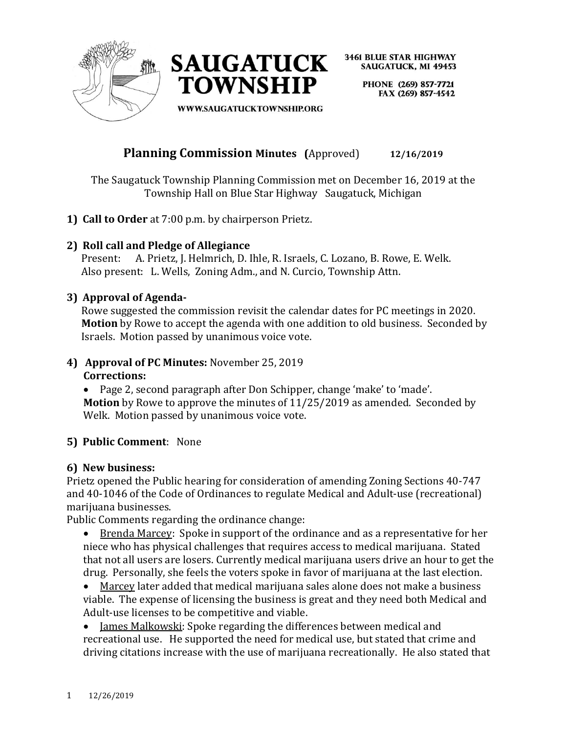



> PHONE (269) 857-7721 FAX (269) 857-4542

**WWW.SAUGATUCKTOWNSHIP.ORG** 

## **Planning Commission Minutes (**Approved) **12/16/2019**

The Saugatuck Township Planning Commission met on December 16, 2019 at the Township Hall on Blue Star Highway Saugatuck, Michigan

**1) Call to Order** at 7:00 p.m. by chairperson Prietz.

## **2) Roll call and Pledge of Allegiance**

 Present: A. Prietz, J. Helmrich, D. Ihle, R. Israels, C. Lozano, B. Rowe, E. Welk. Also present: L. Wells, Zoning Adm., and N. Curcio, Township Attn.

## **3) Approval of Agenda-**

Rowe suggested the commission revisit the calendar dates for PC meetings in 2020. **Motion** by Rowe to accept the agenda with one addition to old business. Seconded by Israels. Motion passed by unanimous voice vote.

## **4) Approval of PC Minutes:** November 25, 2019 **Corrections:**

• Page 2, second paragraph after Don Schipper, change 'make' to 'made'. **Motion** by Rowe to approve the minutes of 11/25/2019 as amended. Seconded by Welk. Motion passed by unanimous voice vote.

## **5) Public Comment**: None

## **6) New business:**

Prietz opened the Public hearing for consideration of amending Zoning Sections 40-747 and 40-1046 of the Code of Ordinances to regulate Medical and Adult-use (recreational) marijuana businesses.

Public Comments regarding the ordinance change:

• Brenda Marcey: Spoke in support of the ordinance and as a representative for her niece who has physical challenges that requires access to medical marijuana. Stated that not all users are losers. Currently medical marijuana users drive an hour to get the drug. Personally, she feels the voters spoke in favor of marijuana at the last election.

• Marcey later added that medical marijuana sales alone does not make a business viable. The expense of licensing the business is great and they need both Medical and Adult-use licenses to be competitive and viable.

• James Malkowski: Spoke regarding the differences between medical and recreational use. He supported the need for medical use, but stated that crime and driving citations increase with the use of marijuana recreationally. He also stated that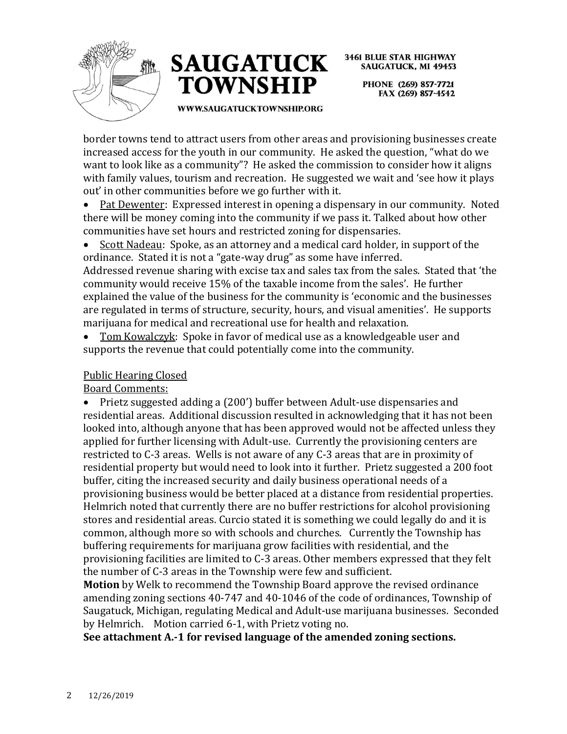



**3461 BLUE STAR HIGHWAY SAUGATUCK, MI 49453** PHONE (269) 857-7721

FAX (269) 857-4542

WWW.SAUGATUCKTOWNSHIP.ORG

border towns tend to attract users from other areas and provisioning businesses create increased access for the youth in our community. He asked the question, "what do we want to look like as a community"? He asked the commission to consider how it aligns with family values, tourism and recreation. He suggested we wait and 'see how it plays out' in other communities before we go further with it.

• Pat Dewenter: Expressed interest in opening a dispensary in our community. Noted there will be money coming into the community if we pass it. Talked about how other communities have set hours and restricted zoning for dispensaries.

• Scott Nadeau: Spoke, as an attorney and a medical card holder, in support of the ordinance. Stated it is not a "gate-way drug" as some have inferred. Addressed revenue sharing with excise tax and sales tax from the sales. Stated that 'the community would receive 15% of the taxable income from the sales'. He further explained the value of the business for the community is 'economic and the businesses are regulated in terms of structure, security, hours, and visual amenities'. He supports marijuana for medical and recreational use for health and relaxation.

• Tom Kowalczyk: Spoke in favor of medical use as a knowledgeable user and supports the revenue that could potentially come into the community.

## Public Hearing Closed

Board Comments:

• Prietz suggested adding a (200') buffer between Adult-use dispensaries and residential areas. Additional discussion resulted in acknowledging that it has not been looked into, although anyone that has been approved would not be affected unless they applied for further licensing with Adult-use. Currently the provisioning centers are restricted to C-3 areas. Wells is not aware of any C-3 areas that are in proximity of residential property but would need to look into it further. Prietz suggested a 200 foot buffer, citing the increased security and daily business operational needs of a provisioning business would be better placed at a distance from residential properties. Helmrich noted that currently there are no buffer restrictions for alcohol provisioning stores and residential areas. Curcio stated it is something we could legally do and it is common, although more so with schools and churches. Currently the Township has buffering requirements for marijuana grow facilities with residential, and the provisioning facilities are limited to C-3 areas. Other members expressed that they felt the number of C-3 areas in the Township were few and sufficient.

**Motion** by Welk to recommend the Township Board approve the revised ordinance amending zoning sections 40-747 and 40-1046 of the code of ordinances, Township of Saugatuck, Michigan, regulating Medical and Adult-use marijuana businesses. Seconded by Helmrich. Motion carried 6-1, with Prietz voting no.

**See attachment A.-1 for revised language of the amended zoning sections.**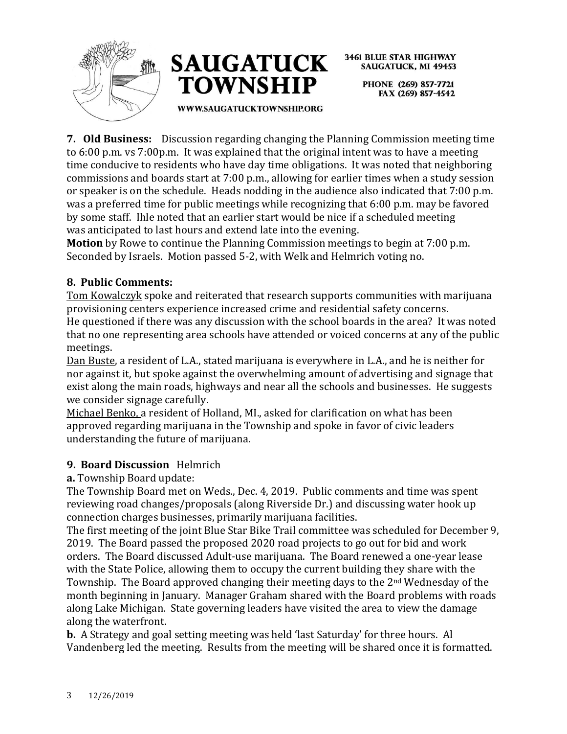



**3461 BLUE STAR HIGHWAY SAUGATUCK, MI 49453** PHONE (269) 857-7721

FAX (269) 857-4542

**WWW.SAUGATUCKTOWNSHIP.ORG** 

**7. Old Business:** Discussion regarding changing the Planning Commission meeting time to 6:00 p.m. vs 7:00p.m. It was explained that the original intent was to have a meeting time conducive to residents who have day time obligations. It was noted that neighboring commissions and boards start at 7:00 p.m., allowing for earlier times when a study session or speaker is on the schedule. Heads nodding in the audience also indicated that 7:00 p.m. was a preferred time for public meetings while recognizing that 6:00 p.m. may be favored by some staff. Ihle noted that an earlier start would be nice if a scheduled meeting was anticipated to last hours and extend late into the evening.

**Motion** by Rowe to continue the Planning Commission meetings to begin at 7:00 p.m. Seconded by Israels. Motion passed 5-2, with Welk and Helmrich voting no.

## **8. Public Comments:**

Tom Kowalczyk spoke and reiterated that research supports communities with marijuana provisioning centers experience increased crime and residential safety concerns.

He questioned if there was any discussion with the school boards in the area? It was noted that no one representing area schools have attended or voiced concerns at any of the public meetings.

Dan Buste, a resident of L.A., stated marijuana is everywhere in L.A., and he is neither for nor against it, but spoke against the overwhelming amount of advertising and signage that exist along the main roads, highways and near all the schools and businesses. He suggests we consider signage carefully.

Michael Benko, a resident of Holland, MI., asked for clarification on what has been approved regarding marijuana in the Township and spoke in favor of civic leaders understanding the future of marijuana.

## **9. Board Discussion** Helmrich

**a.** Township Board update:

The Township Board met on Weds., Dec. 4, 2019. Public comments and time was spent reviewing road changes/proposals (along Riverside Dr.) and discussing water hook up connection charges businesses, primarily marijuana facilities.

The first meeting of the joint Blue Star Bike Trail committee was scheduled for December 9, 2019. The Board passed the proposed 2020 road projects to go out for bid and work orders. The Board discussed Adult-use marijuana. The Board renewed a one-year lease with the State Police, allowing them to occupy the current building they share with the Township. The Board approved changing their meeting days to the 2nd Wednesday of the month beginning in January. Manager Graham shared with the Board problems with roads along Lake Michigan. State governing leaders have visited the area to view the damage along the waterfront.

**b.** A Strategy and goal setting meeting was held 'last Saturday' for three hours. Al Vandenberg led the meeting. Results from the meeting will be shared once it is formatted.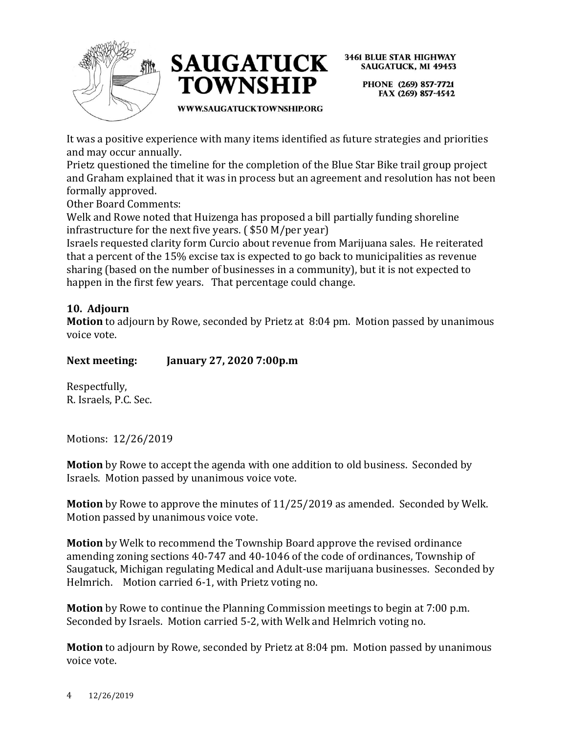



> PHONE (269) 857-7721 FAX (269) 857-4542

WWW.SAUGATUCKTOWNSHIP.ORG

It was a positive experience with many items identified as future strategies and priorities and may occur annually.

Prietz questioned the timeline for the completion of the Blue Star Bike trail group project and Graham explained that it was in process but an agreement and resolution has not been formally approved.

Other Board Comments:

Welk and Rowe noted that Huizenga has proposed a bill partially funding shoreline infrastructure for the next five years. ( \$50 M/per year)

Israels requested clarity form Curcio about revenue from Marijuana sales. He reiterated that a percent of the 15% excise tax is expected to go back to municipalities as revenue sharing (based on the number of businesses in a community), but it is not expected to happen in the first few years. That percentage could change.

## **10. Adjourn**

**Motion** to adjourn by Rowe, seconded by Prietz at 8:04 pm. Motion passed by unanimous voice vote.

**Next meeting: January 27, 2020 7:00p.m**

Respectfully, R. Israels, P.C. Sec.

Motions: 12/26/2019

**Motion** by Rowe to accept the agenda with one addition to old business. Seconded by Israels. Motion passed by unanimous voice vote.

**Motion** by Rowe to approve the minutes of 11/25/2019 as amended. Seconded by Welk. Motion passed by unanimous voice vote.

**Motion** by Welk to recommend the Township Board approve the revised ordinance amending zoning sections 40-747 and 40-1046 of the code of ordinances, Township of Saugatuck, Michigan regulating Medical and Adult-use marijuana businesses. Seconded by Helmrich. Motion carried 6-1, with Prietz voting no.

**Motion** by Rowe to continue the Planning Commission meetings to begin at 7:00 p.m. Seconded by Israels. Motion carried 5-2, with Welk and Helmrich voting no.

**Motion** to adjourn by Rowe, seconded by Prietz at 8:04 pm. Motion passed by unanimous voice vote.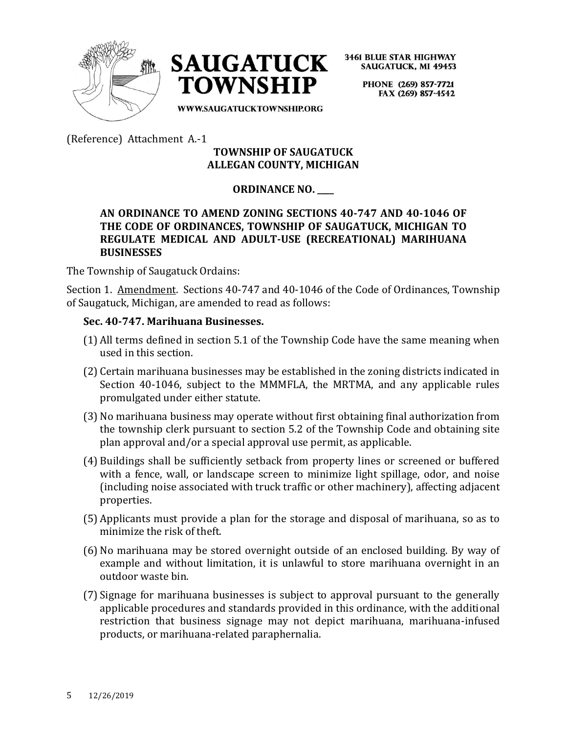



> PHONE (269) 857-7721 FAX (269) 857-4542

WWW.SAUGATUCKTOWNSHIP.ORG

(Reference) Attachment A.-1

## **TOWNSHIP OF SAUGATUCK ALLEGAN COUNTY, MICHIGAN**

## **ORDINANCE NO. \_\_\_\_**

## **AN ORDINANCE TO AMEND ZONING SECTIONS 40-747 AND 40-1046 OF THE CODE OF ORDINANCES, TOWNSHIP OF SAUGATUCK, MICHIGAN TO REGULATE MEDICAL AND ADULT-USE (RECREATIONAL) MARIHUANA BUSINESSES**

The Township of Saugatuck Ordains:

Section 1. Amendment. Sections 40-747 and 40-1046 of the Code of Ordinances, Township of Saugatuck, Michigan, are amended to read as follows:

### **Sec. 40-747. Marihuana Businesses.**

- (1) All terms defined in section 5.1 of the Township Code have the same meaning when used in this section.
- (2) Certain marihuana businesses may be established in the zoning districts indicated in Section 40-1046, subject to the MMMFLA, the MRTMA, and any applicable rules promulgated under either statute.
- (3) No marihuana business may operate without first obtaining final authorization from the township clerk pursuant to section 5.2 of the Township Code and obtaining site plan approval and/or a special approval use permit, as applicable.
- (4) Buildings shall be sufficiently setback from property lines or screened or buffered with a fence, wall, or landscape screen to minimize light spillage, odor, and noise (including noise associated with truck traffic or other machinery), affecting adjacent properties.
- (5) Applicants must provide a plan for the storage and disposal of marihuana, so as to minimize the risk of theft.
- (6) No marihuana may be stored overnight outside of an enclosed building. By way of example and without limitation, it is unlawful to store marihuana overnight in an outdoor waste bin.
- (7) Signage for marihuana businesses is subject to approval pursuant to the generally applicable procedures and standards provided in this ordinance, with the additional restriction that business signage may not depict marihuana, marihuana-infused products, or marihuana-related paraphernalia.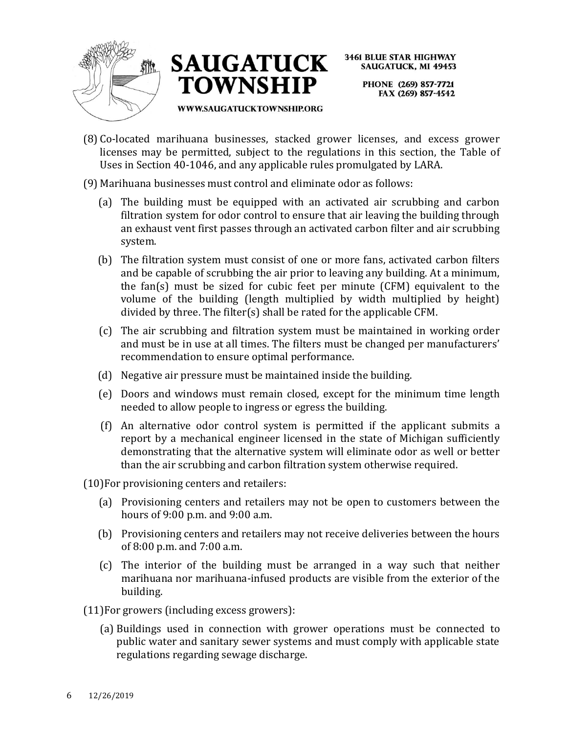



**3461 BLUE STAR HIGHWAY SAUGATUCK, MI 49453** PHONE (269) 857-7721 FAX (269) 857-4542

WWW.SAUGATUCKTOWNSHIP.ORG

(8) Co-located marihuana businesses, stacked grower licenses, and excess grower licenses may be permitted, subject to the regulations in this section, the Table of Uses in Section 40-1046, and any applicable rules promulgated by LARA.

## (9) Marihuana businesses must control and eliminate odor as follows:

- (a) The building must be equipped with an activated air scrubbing and carbon filtration system for odor control to ensure that air leaving the building through an exhaust vent first passes through an activated carbon filter and air scrubbing system.
- (b) The filtration system must consist of one or more fans, activated carbon filters and be capable of scrubbing the air prior to leaving any building. At a minimum, the fan(s) must be sized for cubic feet per minute (CFM) equivalent to the volume of the building (length multiplied by width multiplied by height) divided by three. The filter(s) shall be rated for the applicable CFM.
- (c) The air scrubbing and filtration system must be maintained in working order and must be in use at all times. The filters must be changed per manufacturers' recommendation to ensure optimal performance.
- (d) Negative air pressure must be maintained inside the building.
- (e) Doors and windows must remain closed, except for the minimum time length needed to allow people to ingress or egress the building.
- (f) An alternative odor control system is permitted if the applicant submits a report by a mechanical engineer licensed in the state of Michigan sufficiently demonstrating that the alternative system will eliminate odor as well or better than the air scrubbing and carbon filtration system otherwise required.
- (10)For provisioning centers and retailers:
	- (a) Provisioning centers and retailers may not be open to customers between the hours of 9:00 p.m. and 9:00 a.m.
	- (b) Provisioning centers and retailers may not receive deliveries between the hours of 8:00 p.m. and 7:00 a.m.
	- (c) The interior of the building must be arranged in a way such that neither marihuana nor marihuana-infused products are visible from the exterior of the building.
- (11)For growers (including excess growers):
	- (a) Buildings used in connection with grower operations must be connected to public water and sanitary sewer systems and must comply with applicable state regulations regarding sewage discharge.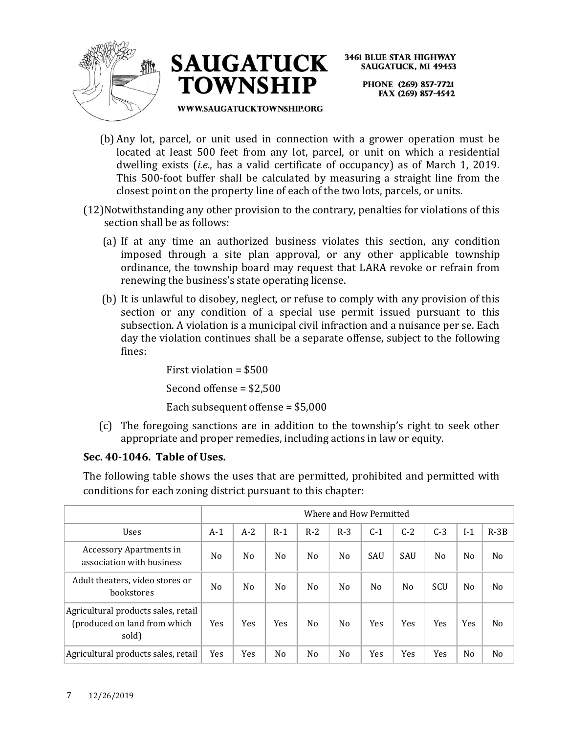



**3461 BLUE STAR HIGHWAY SAUGATUCK, MI 49453** PHONE (269) 857-7721 FAX (269) 857-4542

#### **WWW.SAUGATUCKTOWNSHIP.ORG**

- (b) Any lot, parcel, or unit used in connection with a grower operation must be located at least 500 feet from any lot, parcel, or unit on which a residential dwelling exists (*i.e.*, has a valid certificate of occupancy) as of March 1, 2019. This 500-foot buffer shall be calculated by measuring a straight line from the closest point on the property line of each of the two lots, parcels, or units.
- (12)Notwithstanding any other provision to the contrary, penalties for violations of this section shall be as follows:
	- (a) If at any time an authorized business violates this section, any condition imposed through a site plan approval, or any other applicable township ordinance, the township board may request that LARA revoke or refrain from renewing the business's state operating license.
	- (b) It is unlawful to disobey, neglect, or refuse to comply with any provision of this section or any condition of a special use permit issued pursuant to this subsection. A violation is a municipal civil infraction and a nuisance per se. Each day the violation continues shall be a separate offense, subject to the following fines:

First violation = \$500 Second offense = \$2,500

Each subsequent offense = \$5,000

(c) The foregoing sanctions are in addition to the township's right to seek other appropriate and proper remedies, including actions in law or equity.

## **Sec. 40-1046. Table of Uses.**

The following table shows the uses that are permitted, prohibited and permitted with conditions for each zoning district pursuant to this chapter:

|                                                                              |                | Where and How Permitted |                |       |                |                |                |       |                |                |
|------------------------------------------------------------------------------|----------------|-------------------------|----------------|-------|----------------|----------------|----------------|-------|----------------|----------------|
| <b>Uses</b>                                                                  | $A-1$          | $A-2$                   | $R-1$          | $R-2$ | $R-3$          | $C-1$          | $C-2$          | $C-3$ | $I-1$          | $R-3B$         |
| <b>Accessory Apartments in</b><br>association with business                  | N <sub>0</sub> | No                      | N <sub>o</sub> | No.   | No             | SAU            | SAU            | No    | N <sub>0</sub> | N <sub>0</sub> |
| Adult theaters, video stores or<br>bookstores                                | N <sub>0</sub> | No                      | N <sub>o</sub> | No.   | No             | N <sub>0</sub> | N <sub>0</sub> | SCU   | N <sub>0</sub> | N <sub>o</sub> |
| Agricultural products sales, retail<br>(produced on land from which<br>sold) | Yes            | Yes                     | Yes            | No.   | No             | Yes            | Yes            | Yes   | Yes            | N <sub>0</sub> |
| Agricultural products sales, retail                                          | Yes            | Yes                     | No             | No    | N <sub>0</sub> | Yes            | Yes            | Yes   | N <sub>0</sub> | No             |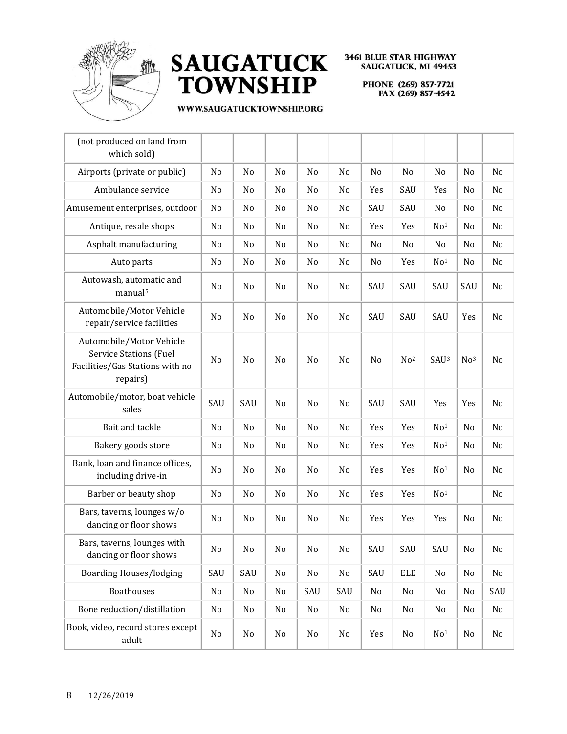



| (not produced on land from<br>which sold)                                                                |          |     |    |     |                |                |                 |                  |                 |     |
|----------------------------------------------------------------------------------------------------------|----------|-----|----|-----|----------------|----------------|-----------------|------------------|-----------------|-----|
| Airports (private or public)                                                                             | No       | No  | No | No  | No             | No             | No              | No               | No              | No  |
| Ambulance service                                                                                        | No       | No  | No | No  | No             | Yes            | SAU             | Yes              | No              | No  |
| Amusement enterprises, outdoor                                                                           | No       | No  | No | No  | No             | SAU            | SAU             | No               | No              | No  |
| Antique, resale shops                                                                                    | No       | No  | No | No  | No             | Yes            | Yes             | No <sup>1</sup>  | No              | No  |
| Asphalt manufacturing                                                                                    | No       | No  | No | No  | No             | No             | No              | No               | No              | No  |
| Auto parts                                                                                               | No       | No  | No | No  | No             | No             | Yes             | No <sup>1</sup>  | No              | No  |
| Autowash, automatic and<br>manual <sup>5</sup>                                                           | No       | No  | No | No  | No             | SAU            | SAU             | SAU              | SAU             | No  |
| Automobile/Motor Vehicle<br>repair/service facilities                                                    | No       | No  | No | No  | No             | SAU            | SAU             | SAU              | Yes             | No  |
| Automobile/Motor Vehicle<br><b>Service Stations (Fuel</b><br>Facilities/Gas Stations with no<br>repairs) | No       | No  | No | No  | No             | N <sub>0</sub> | No <sup>2</sup> | SAU <sup>3</sup> | No <sup>3</sup> | No  |
| Automobile/motor, boat vehicle<br>sales                                                                  | SAU      | SAU | No | No  | No             | SAU            | SAU             | Yes              | Yes             | No  |
| Bait and tackle                                                                                          | No       | No  | No | No  | No             | Yes            | Yes             | No <sup>1</sup>  | No              | No  |
| Bakery goods store                                                                                       | No       | No  | No | No  | No             | Yes            | Yes             | No <sup>1</sup>  | No              | No  |
| Bank, loan and finance offices,<br>including drive-in                                                    | No       | No  | No | No  | No             | Yes            | Yes             | No <sup>1</sup>  | No              | No  |
| Barber or beauty shop                                                                                    | No       | No  | No | No  | No             | Yes            | Yes             | No <sup>1</sup>  |                 | No  |
| Bars, taverns, lounges w/o<br>dancing or floor shows                                                     | No       | No  | No | No  | N <sub>o</sub> | Yes            | Yes             | Yes              | No              | No  |
| Bars, taverns, lounges with<br>dancing or floor shows                                                    | $\rm No$ | No  | No | No  | No             | SAU            | SAU             | SAU              | No              | No  |
| <b>Boarding Houses/lodging</b>                                                                           | SAU      | SAU | No | No  | No             | SAU            | ELE             | No               | No              | No  |
| <b>Boathouses</b>                                                                                        | No       | No  | No | SAU | SAU            | No             | No              | No               | No              | SAU |
| Bone reduction/distillation                                                                              | No       | No  | No | No  | No             | No             | No              | No               | No              | No  |
| Book, video, record stores except<br>adult                                                               | No       | No  | No | No  | No             | Yes            | No              | No <sup>1</sup>  | No              | No  |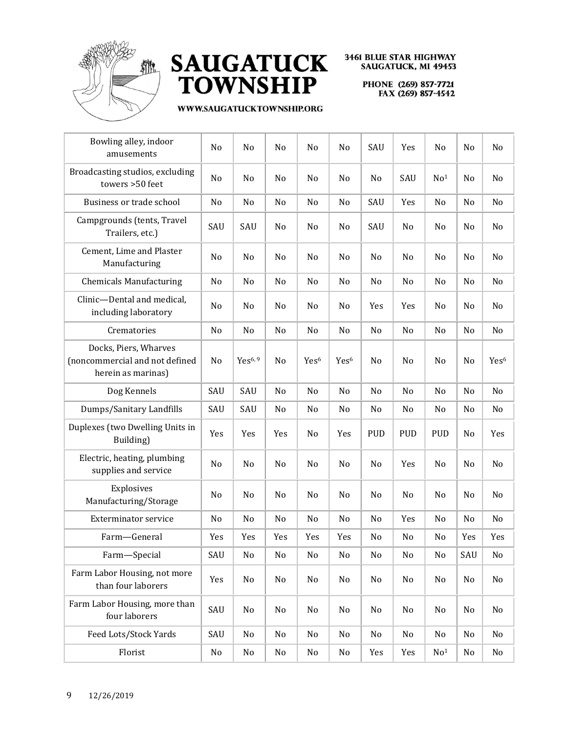



| Bowling alley, indoor<br>amusements                                           | No             | No                  | No             | No               | No               | SAU            | Yes        | No              | No             | No               |
|-------------------------------------------------------------------------------|----------------|---------------------|----------------|------------------|------------------|----------------|------------|-----------------|----------------|------------------|
| Broadcasting studios, excluding<br>towers >50 feet                            | No             | No                  | No             | No               | N <sub>0</sub>   | No             | SAU        | No <sup>1</sup> | No             | No               |
| Business or trade school                                                      | No             | N <sub>o</sub>      | N <sub>o</sub> | No               | No               | SAU            | Yes        | N <sub>o</sub>  | No             | N <sub>0</sub>   |
| Campgrounds (tents, Travel<br>Trailers, etc.)                                 | SAU            | SAU                 | No             | No               | No               | SAU            | No         | No              | No             | No               |
| Cement, Lime and Plaster<br>Manufacturing                                     | No             | No                  | No             | No               | No               | No             | No         | No              | No             | No               |
| <b>Chemicals Manufacturing</b>                                                | No             | No                  | No             | No               | No               | N <sub>0</sub> | No         | No              | No             | N <sub>0</sub>   |
| Clinic-Dental and medical,<br>including laboratory                            | No             | No                  | No             | No               | No               | Yes            | Yes        | No              | No             | No               |
| Crematories                                                                   | N <sub>0</sub> | No                  | No             | No               | No               | N <sub>0</sub> | No         | No              | No             | No               |
| Docks, Piers, Wharves<br>(noncommercial and not defined<br>herein as marinas) | No             | Yes <sup>6, 9</sup> | N <sub>o</sub> | Yes <sup>6</sup> | Yes <sup>6</sup> | N <sub>0</sub> | No         | No              | No             | Yes <sup>6</sup> |
| Dog Kennels                                                                   | SAU            | SAU                 | No             | No               | No               | N <sub>0</sub> | No         | No              | No             | N <sub>0</sub>   |
| Dumps/Sanitary Landfills                                                      | SAU            | SAU                 | No             | No               | No               | No             | No         | No              | No             | No               |
| Duplexes (two Dwelling Units in<br>Building)                                  | Yes            | Yes                 | Yes            | No               | Yes              | <b>PUD</b>     | <b>PUD</b> | <b>PUD</b>      | No             | Yes              |
| Electric, heating, plumbing<br>supplies and service                           | No             | No                  | No             | No               | No               | No             | Yes        | No              | No             | No               |
| Explosives<br>Manufacturing/Storage                                           | No             | No                  | No             | No               | No               | No             | No         | No              | No             | No               |
| <b>Exterminator service</b>                                                   | N <sub>0</sub> | No                  | No             | No               | No               | No             | Yes        | No              | N <sub>0</sub> | No               |
| Farm-General                                                                  | Yes            | Yes                 | Yes            | Yes              | Yes              | No             | No         | No              | Yes            | Yes              |
| Farm-Special                                                                  | SAU            | No                  | No             | No               | No               | No             | No         | No              | SAU            | No               |
| Farm Labor Housing, not more<br>than four laborers                            | Yes            | No                  | No             | No               | No               | No             | No         | No              | No             | No               |
| Farm Labor Housing, more than<br>four laborers                                | SAU            | No                  | No             | No               | No               | No             | No         | No              | No             | No               |
| Feed Lots/Stock Yards                                                         | SAU            | No                  | No             | No               | No               | No             | No         | No              | No             | No               |
| Florist                                                                       | No             | No                  | No             | No               | No               | Yes            | Yes        | No <sup>1</sup> | No             | No               |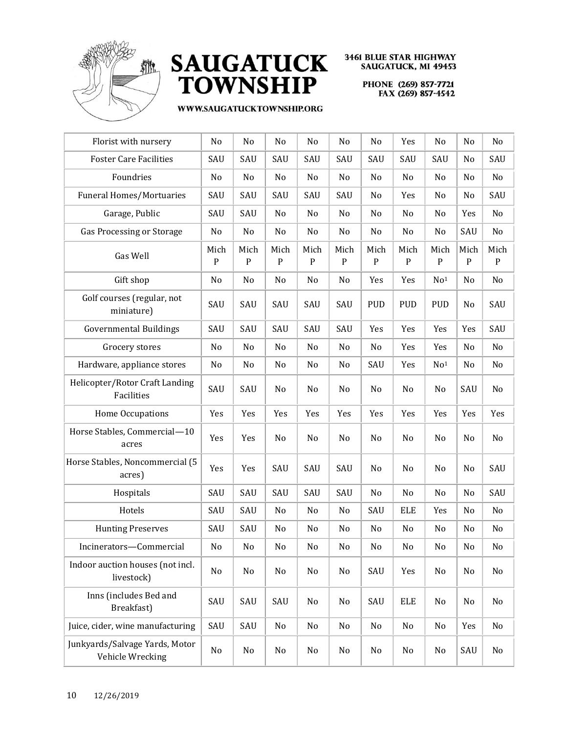



| Florist with nursery                               | No                  | No                | No                  | No                  | No                | No                   | Yes               | No                  | No                | No                |
|----------------------------------------------------|---------------------|-------------------|---------------------|---------------------|-------------------|----------------------|-------------------|---------------------|-------------------|-------------------|
| <b>Foster Care Facilities</b>                      | SAU                 | SAU               | SAU                 | SAU                 | SAU               | SAU                  | SAU               | SAU                 | No                | SAU               |
| Foundries                                          | No                  | No                | No                  | No                  | No                | No                   | No                | No                  | No                | No                |
| <b>Funeral Homes/Mortuaries</b>                    | SAU                 | SAU               | SAU                 | SAU                 | SAU               | No                   | Yes               | No                  | No                | SAU               |
| Garage, Public                                     | SAU                 | SAU               | No                  | No                  | No                | No                   | No                | No                  | Yes               | No                |
| Gas Processing or Storage                          | No                  | No                | No                  | No                  | No                | No                   | No                | No                  | SAU               | No                |
| Gas Well                                           | Mich<br>$\mathbf P$ | Mich<br>${\bf P}$ | Mich<br>$\mathbf P$ | Mich<br>$\mathbf P$ | Mich<br>${\bf P}$ | Mich<br>$\mathbf{P}$ | Mich<br>${\bf P}$ | Mich<br>$\mathbf P$ | Mich<br>${\bf P}$ | Mich<br>${\bf P}$ |
| Gift shop                                          | No                  | No                | No                  | No                  | No                | Yes                  | Yes               | No <sup>1</sup>     | No                | No                |
| Golf courses (regular, not<br>miniature)           | SAU                 | SAU               | SAU                 | SAU                 | SAU               | <b>PUD</b>           | <b>PUD</b>        | <b>PUD</b>          | No                | SAU               |
| <b>Governmental Buildings</b>                      | SAU                 | SAU               | SAU                 | SAU                 | SAU               | Yes                  | Yes               | Yes                 | Yes               | SAU               |
| Grocery stores                                     | No                  | No                | No                  | No                  | No                | No                   | Yes               | Yes                 | No                | No                |
| Hardware, appliance stores                         | No                  | No                | No                  | No                  | No                | SAU                  | Yes               | No <sup>1</sup>     | No                | No                |
| Helicopter/Rotor Craft Landing<br>Facilities       | SAU                 | SAU               | No                  | No                  | No                | No                   | No                | No                  | SAU               | No                |
| Home Occupations                                   | Yes                 | Yes               | Yes                 | Yes                 | Yes               | Yes                  | Yes               | Yes                 | Yes               | Yes               |
| Horse Stables, Commercial-10<br>acres              | Yes                 | Yes               | No                  | No                  | No                | No                   | No                | No                  | No                | No                |
| Horse Stables, Noncommercial (5<br>acres)          | Yes                 | Yes               | SAU                 | SAU                 | SAU               | No                   | No                | No                  | No                | SAU               |
| Hospitals                                          | SAU                 | SAU               | SAU                 | SAU                 | SAU               | No                   | No                | No                  | No                | SAU               |
| Hotels                                             | SAU                 | SAU               | No                  | No                  | No                | SAU                  | <b>ELE</b>        | Yes                 | No                | No                |
| <b>Hunting Preserves</b>                           | SAU                 | SAU               | No                  | No                  | No                | No                   | No                | No                  | No                | No                |
| Incinerators-Commercial                            | No                  | No                | No                  | No                  | No                | No                   | No                | No                  | No                | No                |
| Indoor auction houses (not incl.<br>livestock)     | No                  | No                | No                  | No                  | No                | SAU                  | Yes               | No                  | No                | No                |
| Inns (includes Bed and<br>Breakfast)               | SAU                 | SAU               | SAU                 | No                  | No                | SAU                  | <b>ELE</b>        | No                  | No                | No                |
| Juice, cider, wine manufacturing                   | SAU                 | SAU               | No                  | No                  | No                | No                   | No                | No                  | Yes               | No                |
| Junkyards/Salvage Yards, Motor<br>Vehicle Wrecking | No                  | No                | No                  | No                  | No                | No                   | No                | No                  | SAU               | No                |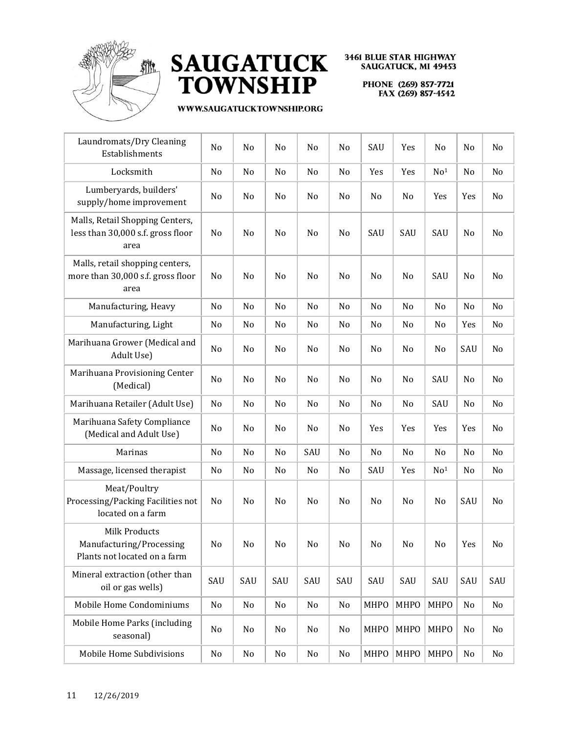



| Laundromats/Dry Cleaning<br>Establishments                                   | No  | No  | No  | No  | No  | SAU            | Yes  | No              | No             | No  |
|------------------------------------------------------------------------------|-----|-----|-----|-----|-----|----------------|------|-----------------|----------------|-----|
| Locksmith                                                                    | No  | No  | No  | No  | No  | Yes            | Yes  | No <sup>1</sup> | No             | No  |
| Lumberyards, builders'<br>supply/home improvement                            | No  | No  | No  | No  | No  | No             | No   | Yes             | Yes            | No  |
| Malls, Retail Shopping Centers,<br>less than 30,000 s.f. gross floor<br>area | No  | No  | No  | No  | No  | SAU            | SAU  | SAU             | N <sub>0</sub> | No  |
| Malls, retail shopping centers,<br>more than 30,000 s.f. gross floor<br>area | No  | No  | No  | No  | No  | N <sub>0</sub> | No   | SAU             | N <sub>0</sub> | No  |
| Manufacturing, Heavy                                                         | No  | No  | No  | No  | No  | No             | No   | No              | No             | No  |
| Manufacturing, Light                                                         | No  | No  | No  | No  | No  | No             | No   | No              | Yes            | No  |
| Marihuana Grower (Medical and<br>Adult Use)                                  | No  | No  | No  | No  | No  | No             | No   | No              | SAU            | No  |
| Marihuana Provisioning Center<br>(Medical)                                   | No  | No  | No  | No  | No  | No             | No   | SAU             | No             | No  |
| Marihuana Retailer (Adult Use)                                               | No  | No  | No  | No  | No  | No             | No   | SAU             | No             | No  |
| Marihuana Safety Compliance<br>(Medical and Adult Use)                       | No  | No  | No  | No  | No  | Yes            | Yes  | Yes             | Yes            | No  |
| Marinas                                                                      | No  | No  | No  | SAU | No  | No             | No   | No              | N <sub>0</sub> | No  |
| Massage, licensed therapist                                                  | No  | No  | No  | No  | No  | SAU            | Yes  | No <sup>1</sup> | No             | No  |
| Meat/Poultry<br>Processing/Packing Facilities not<br>located on a farm       | No  | No  | No  | No  | No  | No             | No   | No              | SAU            | No  |
| Milk Products<br>Manufacturing/Processing<br>Plants not located on a farm    | No  | No  | No  | No  | No  | No             | No   | No              | Yes            | No  |
| Mineral extraction (other than<br>oil or gas wells)                          | SAU | SAU | SAU | SAU | SAU | SAU            | SAU  | SAU             | SAU            | SAU |
| Mobile Home Condominiums                                                     | No  | No  | No  | No  | No  | <b>MHPO</b>    | MHPO | MHPO            | No             | No  |
| Mobile Home Parks (including<br>seasonal)                                    | No  | No  | No  | No  | No  | <b>MHPO</b>    | MHPO | <b>MHPO</b>     | No             | No  |
| Mobile Home Subdivisions                                                     | No  | No  | No  | No  | No  | MHPO           | MHPO | MHPO            | No             | No  |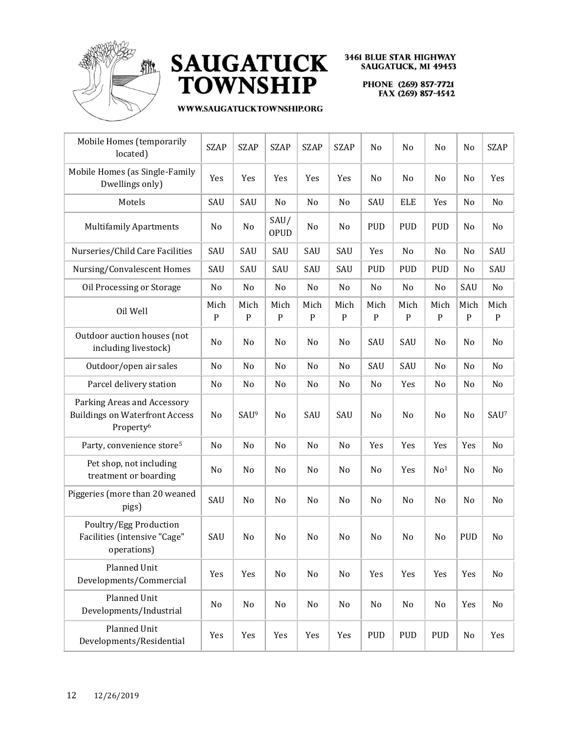



| Mobile Homes (temporarily<br>located)                                                         | <b>SZAP</b>         | <b>SZAP</b>         | <b>SZAP</b>         | <b>SZAP</b>       | <b>SZAP</b>         | No                | No                | No                  | No                | <b>SZAP</b>       |
|-----------------------------------------------------------------------------------------------|---------------------|---------------------|---------------------|-------------------|---------------------|-------------------|-------------------|---------------------|-------------------|-------------------|
| Mobile Homes (as Single-Family<br>Dwellings only)                                             | Yes                 | Yes                 | Yes                 | Yes               | Yes                 | No                | No                | No                  | No                | Yes               |
| Motels                                                                                        | SAU                 | SAU                 | No                  | No                | No                  | SAU               | <b>ELE</b>        | Yes                 | No                | No                |
| <b>Multifamily Apartments</b>                                                                 | No                  | No                  | SAU/<br><b>OPUD</b> | No                | No                  | <b>PUD</b>        | <b>PUD</b>        | <b>PUD</b>          | No                | No                |
| Nurseries/Child Care Facilities                                                               | SAU                 | SAU                 | SAU                 | SAU               | SAU                 | Yes               | No                | No                  | No                | SAU               |
| Nursing/Convalescent Homes                                                                    | SAU                 | SAU                 | SAU                 | SAU               | SAU                 | <b>PUD</b>        | <b>PUD</b>        | <b>PUD</b>          | No                | SAU               |
| Oil Processing or Storage                                                                     | No                  | No                  | No                  | No                | No                  | No                | No                | No                  | SAU               | No                |
| Oil Well                                                                                      | Mich<br>$\mathbf P$ | Mich<br>$\mathbf P$ | Mich<br>P           | Mich<br>${\bf P}$ | Mich<br>$\mathbf P$ | Mich<br>${\bf P}$ | Mich<br>${\bf P}$ | Mich<br>$\mathbf P$ | Mich<br>${\bf P}$ | Mich<br>${\bf P}$ |
| Outdoor auction houses (not<br>including livestock)                                           | No                  | No                  | No                  | No                | No                  | SAU               | SAU               | No                  | No                | No                |
| Outdoor/open air sales                                                                        | No                  | No                  | No                  | No                | No                  | SAU               | SAU               | No                  | No                | No                |
| Parcel delivery station                                                                       | No                  | No                  | No                  | No                | No                  | No                | Yes               | No                  | No                | No                |
| Parking Areas and Accessory<br><b>Buildings on Waterfront Access</b><br>Property <sup>6</sup> | No                  | SAU <sup>9</sup>    | No                  | SAU               | SAU                 | No                | No                | No                  | No                | SAU <sup>7</sup>  |
| Party, convenience store <sup>5</sup>                                                         | No                  | No                  | No                  | No                | No                  | Yes               | Yes               | Yes                 | Yes               | No                |
| Pet shop, not including<br>treatment or boarding                                              | No                  | No                  | No                  | No                | No                  | No                | Yes               | No <sup>1</sup>     | No                | No                |
| Piggeries (more than 20 weaned<br>pigs)                                                       | SAU                 | No                  | No                  | No                | No                  | No                | No                | No                  | No                | No                |
| Poultry/Egg Production<br>Facilities (intensive "Cage"<br>operations)                         | SAU                 | No                  | No                  | No                | No                  | No                | No                | No                  | <b>PUD</b>        | No                |
| Planned Unit<br>Developments/Commercial                                                       | Yes                 | Yes                 | No                  | No                | No                  | Yes               | Yes               | Yes                 | Yes               | No                |
| Planned Unit<br>Developments/Industrial                                                       | No                  | No                  | No                  | No                | No                  | No                | No                | No                  | Yes               | No                |
| Planned Unit<br>Developments/Residential                                                      | Yes                 | Yes                 | Yes                 | Yes               | Yes                 | PUD               | PUD               | PUD                 | No                | Yes               |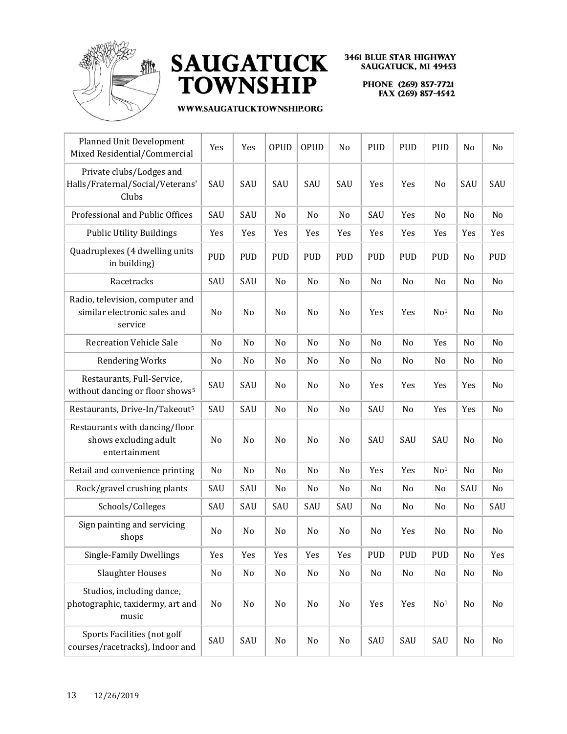



| <b>Planned Unit Development</b><br>Mixed Residential/Commercial            | Yes        | Yes        | <b>OPUD</b>    | <b>OPUD</b> | No         | <b>PUD</b>     | <b>PUD</b> | <b>PUD</b>      | No  | No             |
|----------------------------------------------------------------------------|------------|------------|----------------|-------------|------------|----------------|------------|-----------------|-----|----------------|
| Private clubs/Lodges and<br>Halls/Fraternal/Social/Veterans'<br>Clubs      | SAU        | SAU        | SAU            | SAU         | SAU        | Yes            | Yes        | No              | SAU | SAU            |
| Professional and Public Offices                                            | SAU        | SAU        | N <sub>o</sub> | No          | No         | SAU            | Yes        | N <sub>o</sub>  | No  | N <sub>0</sub> |
| <b>Public Utility Buildings</b>                                            | Yes        | Yes        | Yes            | Yes         | Yes        | Yes            | Yes        | Yes             | Yes | Yes            |
| Quadruplexes (4 dwelling units<br>in building)                             | <b>PUD</b> | <b>PUD</b> | <b>PUD</b>     | <b>PUD</b>  | <b>PUD</b> | <b>PUD</b>     | <b>PUD</b> | PUD             | No  | <b>PUD</b>     |
| Racetracks                                                                 | SAU        | SAU        | No             | No          | No         | N <sub>0</sub> | No         | No              | No  | No             |
| Radio, television, computer and<br>similar electronic sales and<br>service | No         | No         | No             | No          | No         | Yes            | Yes        | No <sup>1</sup> | No  | No             |
| <b>Recreation Vehicle Sale</b>                                             | No         | No         | No             | No          | No         | No             | No         | Yes             | No  | No             |
| <b>Rendering Works</b>                                                     | No         | No         | No             | No          | No         | No             | No         | No              | No  | No             |
| Restaurants, Full-Service,<br>without dancing or floor shows <sup>5</sup>  | SAU        | SAU        | No             | No          | No         | Yes            | Yes        | Yes             | Yes | No             |
| Restaurants, Drive-In/Takeout <sup>5</sup>                                 | SAU        | SAU        | No             | No          | No         | SAU            | No         | Yes             | Yes | No             |
| Restaurants with dancing/floor<br>shows excluding adult<br>entertainment   | No         | No         | No             | No          | No         | SAU            | SAU        | SAU             | No  | No             |
| Retail and convenience printing                                            | No         | No         | No             | No          | No         | Yes            | Yes        | No <sup>1</sup> | No  | No             |
| Rock/gravel crushing plants                                                | SAU        | SAU        | No             | No          | No         | No             | No         | No              | SAU | No             |
| Schools/Colleges                                                           | SAU        | SAU        | SAU            | SAU         | SAU        | No             | No         | No              | No  | SAU            |
| Sign painting and servicing<br>shops                                       | No         | No         | No             | No          | No         | No             | Yes        | No              | No  | No             |
| Single-Family Dwellings                                                    | Yes        | Yes        | Yes            | Yes         | Yes        | PUD            | PUD        | PUD             | No  | Yes            |
| <b>Slaughter Houses</b>                                                    | No         | No         | No             | No          | No         | No             | No         | No              | No  | No             |
| Studios, including dance,<br>photographic, taxidermy, art and<br>music     | No         | No         | No             | No          | No         | Yes            | Yes        | No <sup>1</sup> | No  | No             |
| Sports Facilities (not golf<br>courses/racetracks), Indoor and             | SAU        | SAU        | No             | No          | No         | SAU            | SAU        | SAU             | No  | No             |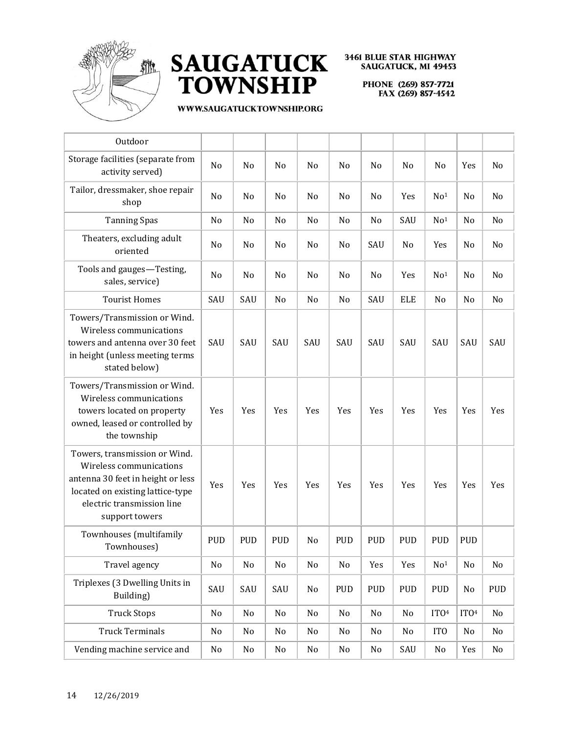



| Outdoor                                                                                                                                                                           |                |            |                |                |            |                |            |                  |                  |     |
|-----------------------------------------------------------------------------------------------------------------------------------------------------------------------------------|----------------|------------|----------------|----------------|------------|----------------|------------|------------------|------------------|-----|
| Storage facilities (separate from<br>activity served)                                                                                                                             | No             | No         | N <sub>0</sub> | No             | No         | No             | No         | No               | Yes              | No  |
| Tailor, dressmaker, shoe repair<br>shop                                                                                                                                           | No             | No         | N <sub>o</sub> | N <sub>0</sub> | No         | N <sub>0</sub> | Yes        | No <sup>1</sup>  | No               | No  |
| <b>Tanning Spas</b>                                                                                                                                                               | No             | No         | No             | No             | No         | No             | SAU        | No <sup>1</sup>  | No               | No  |
| Theaters, excluding adult<br>oriented                                                                                                                                             | N <sub>0</sub> | No         | N <sub>0</sub> | No             | No         | SAU            | No         | Yes              | No               | No  |
| Tools and gauges-Testing,<br>sales, service)                                                                                                                                      | No             | No         | N <sub>0</sub> | No             | No         | N <sub>0</sub> | Yes        | No <sup>1</sup>  | No               | No  |
| <b>Tourist Homes</b>                                                                                                                                                              | SAU            | SAU        | No             | No             | No         | SAU            | <b>ELE</b> | No               | No               | No  |
| Towers/Transmission or Wind.<br>Wireless communications<br>towers and antenna over 30 feet<br>in height (unless meeting terms<br>stated below)                                    | SAU            | SAU        | SAU            | SAU            | SAU        | SAU            | SAU        | SAU              | SAU              | SAU |
| Towers/Transmission or Wind.<br>Wireless communications<br>towers located on property<br>owned, leased or controlled by<br>the township                                           | Yes            | Yes        | Yes            | Yes            | Yes        | Yes            | Yes        | Yes              | Yes              | Yes |
| Towers, transmission or Wind.<br>Wireless communications<br>antenna 30 feet in height or less<br>located on existing lattice-type<br>electric transmission line<br>support towers | Yes            | Yes        | Yes            | Yes            | Yes        | Yes            | Yes        | Yes              | Yes              | Yes |
| Townhouses (multifamily<br>Townhouses)                                                                                                                                            | <b>PUD</b>     | <b>PUD</b> | <b>PUD</b>     | No             | PUD        | <b>PUD</b>     | <b>PUD</b> | <b>PUD</b>       | <b>PUD</b>       |     |
| Travel agency                                                                                                                                                                     | No             | No         | $\rm No$       | No             | No         | Yes            | Yes        | No <sup>1</sup>  | No               | No  |
| Triplexes (3 Dwelling Units in<br>Building)                                                                                                                                       | SAU            | SAU        | SAU            | No             | <b>PUD</b> | <b>PUD</b>     | <b>PUD</b> | <b>PUD</b>       | No               | PUD |
| <b>Truck Stops</b>                                                                                                                                                                | No             | No         | No             | No             | No         | No             | No         | ITO <sup>4</sup> | ITO <sup>4</sup> | No  |
| <b>Truck Terminals</b>                                                                                                                                                            | No             | No         | No             | No             | No         | No             | No         | IT <sub>0</sub>  | No               | No  |
| Vending machine service and                                                                                                                                                       | No             | No         | No             | No             | No         | No             | SAU        | No               | Yes              | No  |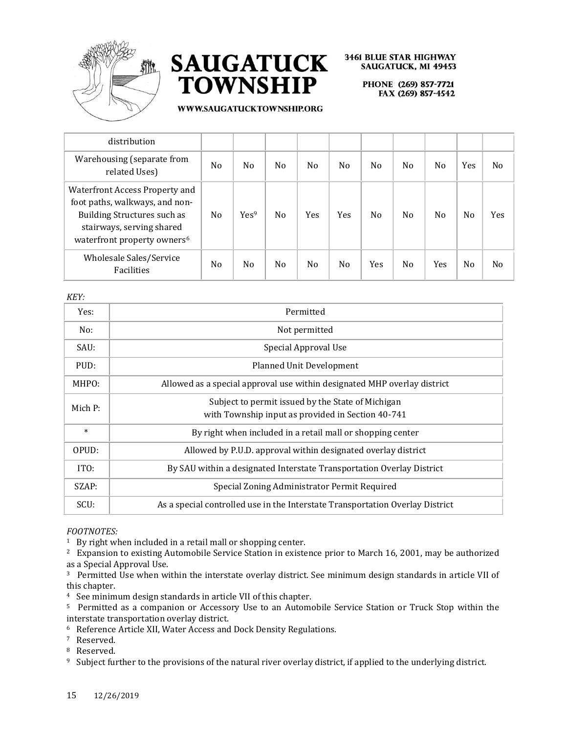



PHONE (269) 857-7721 FAX (269) 857-4542

#### WWW.SAUGATUCKTOWNSHIP.ORG

| distribution                                                                                                                                                                          |                |                  |                |                |                |                |     |                |     |                |
|---------------------------------------------------------------------------------------------------------------------------------------------------------------------------------------|----------------|------------------|----------------|----------------|----------------|----------------|-----|----------------|-----|----------------|
| Warehousing (separate from<br>related Uses)                                                                                                                                           | N <sub>0</sub> | No               | N <sub>0</sub> | N <sub>0</sub> | N <sub>0</sub> | N <sub>0</sub> | No. | No             | Yes | N <sub>0</sub> |
| <b>Waterfront Access Property and</b><br>foot paths, walkways, and non-<br><b>Building Structures such as</b><br>stairways, serving shared<br>waterfront property owners <sup>6</sup> | N <sub>o</sub> | Yes <sup>9</sup> | N <sub>o</sub> | Yes            | <b>Yes</b>     | N <sub>0</sub> | No. | N <sub>0</sub> | No  | <b>Yes</b>     |
| Wholesale Sales/Service<br>Facilities                                                                                                                                                 | N <sub>0</sub> | No               | N <sub>o</sub> | N <sub>0</sub> | N <sub>0</sub> | Yes            | No. | Yes            | No  | N <sub>0</sub> |

*KEY:*

| Yes:    | Permitted                                                                                              |
|---------|--------------------------------------------------------------------------------------------------------|
| No:     | Not permitted                                                                                          |
| SAU:    | Special Approval Use                                                                                   |
| PUD:    | <b>Planned Unit Development</b>                                                                        |
| MHPO:   | Allowed as a special approval use within designated MHP overlay district                               |
| Mich P: | Subject to permit issued by the State of Michigan<br>with Township input as provided in Section 40-741 |
| $\ast$  | By right when included in a retail mall or shopping center                                             |
| OPUD:   | Allowed by P.U.D. approval within designated overlay district                                          |
| ITO:    | By SAU within a designated Interstate Transportation Overlay District                                  |
| SZAP:   | Special Zoning Administrator Permit Required                                                           |
| SCU:    | As a special controlled use in the Interstate Transportation Overlay District                          |

#### *FOOTNOTES:*

<sup>1</sup> By right when included in a retail mall or shopping center.

<sup>2</sup> Expansion to existing Automobile Service Station in existence prior to March 16, 2001, may be authorized as a Special Approval Use.

<sup>3</sup> Permitted Use when within the interstate overlay district. See minimum design standards in article VII of this chapter.

<sup>4</sup> See minimum design standards in article VII of this chapter.

<sup>5</sup> Permitted as a companion or Accessory Use to an Automobile Service Station or Truck Stop within the interstate transportation overlay district.

<sup>6</sup> Reference Article XII, Water Access and Dock Density Regulations.

<sup>7</sup> Reserved.

<sup>8</sup> Reserved.

<sup>9</sup> Subject further to the provisions of the natural river overlay district, if applied to the underlying district.